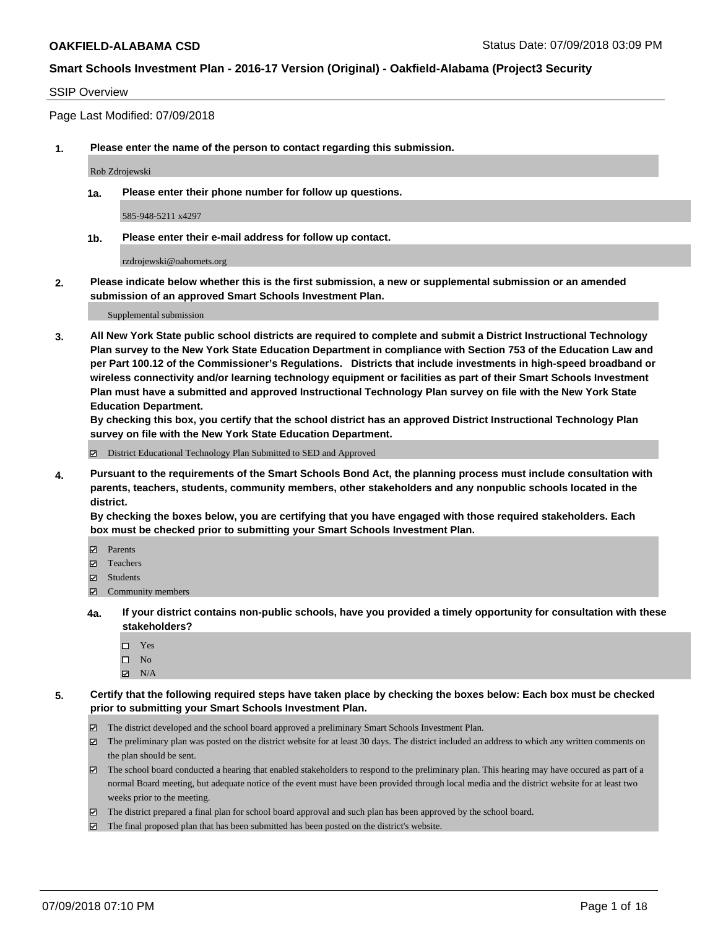### SSIP Overview

Page Last Modified: 07/09/2018

**1. Please enter the name of the person to contact regarding this submission.**

Rob Zdrojewski

**1a. Please enter their phone number for follow up questions.**

585-948-5211 x4297

**1b. Please enter their e-mail address for follow up contact.**

rzdrojewski@oahornets.org

**2. Please indicate below whether this is the first submission, a new or supplemental submission or an amended submission of an approved Smart Schools Investment Plan.**

Supplemental submission

**3. All New York State public school districts are required to complete and submit a District Instructional Technology Plan survey to the New York State Education Department in compliance with Section 753 of the Education Law and per Part 100.12 of the Commissioner's Regulations. Districts that include investments in high-speed broadband or wireless connectivity and/or learning technology equipment or facilities as part of their Smart Schools Investment Plan must have a submitted and approved Instructional Technology Plan survey on file with the New York State Education Department.** 

**By checking this box, you certify that the school district has an approved District Instructional Technology Plan survey on file with the New York State Education Department.**

District Educational Technology Plan Submitted to SED and Approved

**4. Pursuant to the requirements of the Smart Schools Bond Act, the planning process must include consultation with parents, teachers, students, community members, other stakeholders and any nonpublic schools located in the district.** 

**By checking the boxes below, you are certifying that you have engaged with those required stakeholders. Each box must be checked prior to submitting your Smart Schools Investment Plan.**

- Parents
- Teachers
- Students
- $\Xi$  Community members
- **4a. If your district contains non-public schools, have you provided a timely opportunity for consultation with these stakeholders?**
	- Yes
	- $\square$  No
	- $N/A$
- **5. Certify that the following required steps have taken place by checking the boxes below: Each box must be checked prior to submitting your Smart Schools Investment Plan.**
	- The district developed and the school board approved a preliminary Smart Schools Investment Plan.
	- $\boxtimes$  The preliminary plan was posted on the district website for at least 30 days. The district included an address to which any written comments on the plan should be sent.
	- $\boxtimes$  The school board conducted a hearing that enabled stakeholders to respond to the preliminary plan. This hearing may have occured as part of a normal Board meeting, but adequate notice of the event must have been provided through local media and the district website for at least two weeks prior to the meeting.
	- The district prepared a final plan for school board approval and such plan has been approved by the school board.
	- $\boxtimes$  The final proposed plan that has been submitted has been posted on the district's website.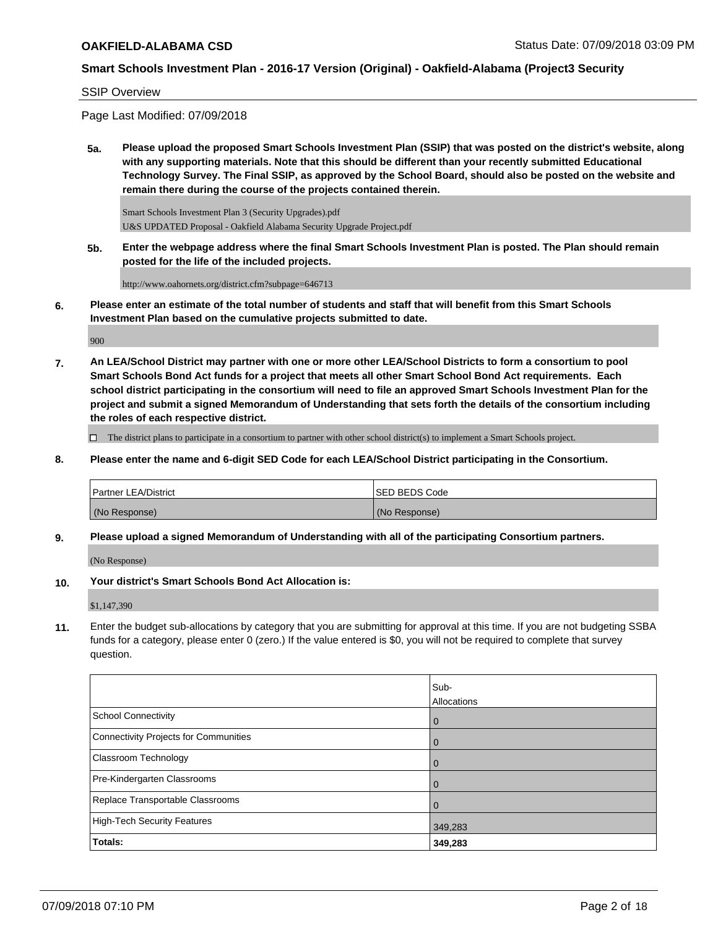SSIP Overview

Page Last Modified: 07/09/2018

**5a. Please upload the proposed Smart Schools Investment Plan (SSIP) that was posted on the district's website, along with any supporting materials. Note that this should be different than your recently submitted Educational Technology Survey. The Final SSIP, as approved by the School Board, should also be posted on the website and remain there during the course of the projects contained therein.**

Smart Schools Investment Plan 3 (Security Upgrades).pdf U&S UPDATED Proposal - Oakfield Alabama Security Upgrade Project.pdf

**5b. Enter the webpage address where the final Smart Schools Investment Plan is posted. The Plan should remain posted for the life of the included projects.**

http://www.oahornets.org/district.cfm?subpage=646713

**6. Please enter an estimate of the total number of students and staff that will benefit from this Smart Schools Investment Plan based on the cumulative projects submitted to date.**

900

**7. An LEA/School District may partner with one or more other LEA/School Districts to form a consortium to pool Smart Schools Bond Act funds for a project that meets all other Smart School Bond Act requirements. Each school district participating in the consortium will need to file an approved Smart Schools Investment Plan for the project and submit a signed Memorandum of Understanding that sets forth the details of the consortium including the roles of each respective district.**

 $\Box$  The district plans to participate in a consortium to partner with other school district(s) to implement a Smart Schools project.

**8. Please enter the name and 6-digit SED Code for each LEA/School District participating in the Consortium.**

| <b>Partner LEA/District</b> | <b>ISED BEDS Code</b> |
|-----------------------------|-----------------------|
| (No Response)               | (No Response)         |

**9. Please upload a signed Memorandum of Understanding with all of the participating Consortium partners.**

(No Response)

**10. Your district's Smart Schools Bond Act Allocation is:**

\$1,147,390

**11.** Enter the budget sub-allocations by category that you are submitting for approval at this time. If you are not budgeting SSBA funds for a category, please enter 0 (zero.) If the value entered is \$0, you will not be required to complete that survey question.

|                                       | Sub-<br>Allocations |
|---------------------------------------|---------------------|
| <b>School Connectivity</b>            | $\overline{0}$      |
| Connectivity Projects for Communities | $\Omega$            |
| <b>Classroom Technology</b>           | $\overline{0}$      |
| Pre-Kindergarten Classrooms           | $\mathbf 0$         |
| Replace Transportable Classrooms      | $\mathbf 0$         |
| High-Tech Security Features           | 349,283             |
| Totals:                               | 349,283             |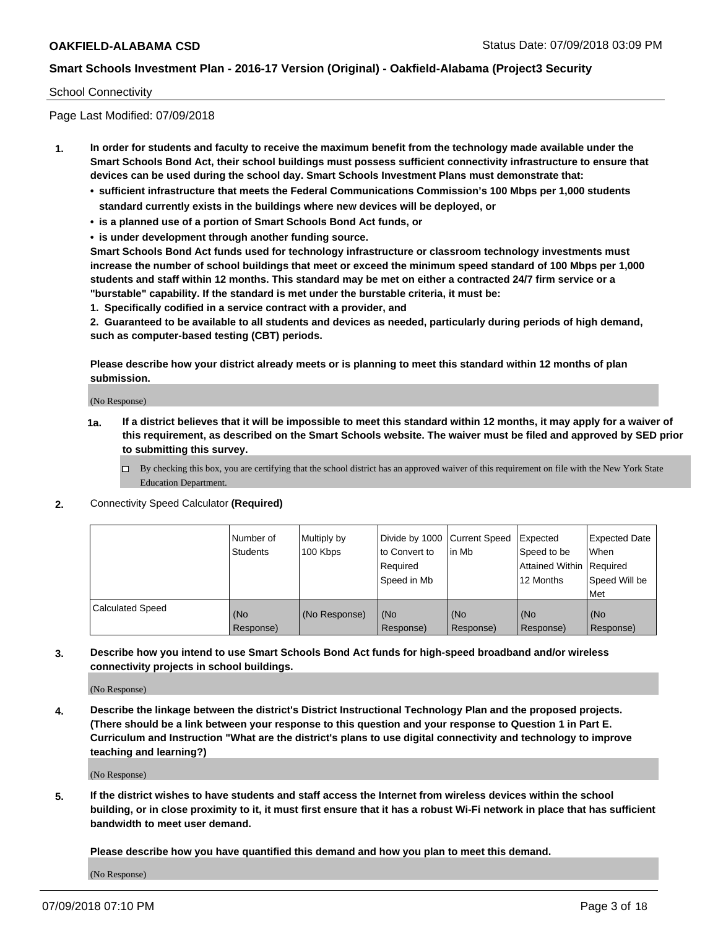### School Connectivity

Page Last Modified: 07/09/2018

- **1. In order for students and faculty to receive the maximum benefit from the technology made available under the Smart Schools Bond Act, their school buildings must possess sufficient connectivity infrastructure to ensure that devices can be used during the school day. Smart Schools Investment Plans must demonstrate that:**
	- **• sufficient infrastructure that meets the Federal Communications Commission's 100 Mbps per 1,000 students standard currently exists in the buildings where new devices will be deployed, or**
	- **• is a planned use of a portion of Smart Schools Bond Act funds, or**
	- **• is under development through another funding source.**

**Smart Schools Bond Act funds used for technology infrastructure or classroom technology investments must increase the number of school buildings that meet or exceed the minimum speed standard of 100 Mbps per 1,000 students and staff within 12 months. This standard may be met on either a contracted 24/7 firm service or a "burstable" capability. If the standard is met under the burstable criteria, it must be:**

**1. Specifically codified in a service contract with a provider, and**

**2. Guaranteed to be available to all students and devices as needed, particularly during periods of high demand, such as computer-based testing (CBT) periods.**

**Please describe how your district already meets or is planning to meet this standard within 12 months of plan submission.**

(No Response)

- **1a. If a district believes that it will be impossible to meet this standard within 12 months, it may apply for a waiver of this requirement, as described on the Smart Schools website. The waiver must be filed and approved by SED prior to submitting this survey.**
	- By checking this box, you are certifying that the school district has an approved waiver of this requirement on file with the New York State Education Department.
- **2.** Connectivity Speed Calculator **(Required)**

|                         | l Number of<br><b>Students</b> | Multiply by<br>100 Kbps | Divide by 1000 Current Speed<br>to Convert to<br>Required<br>l Speed in Mb | lin Mb           | Expected<br>Speed to be<br>Attained Within Required<br>12 Months | <b>Expected Date</b><br><b>When</b><br>Speed Will be<br>l Met |
|-------------------------|--------------------------------|-------------------------|----------------------------------------------------------------------------|------------------|------------------------------------------------------------------|---------------------------------------------------------------|
| <b>Calculated Speed</b> | (No<br>Response)               | (No Response)           | (No<br>Response)                                                           | (No<br>Response) | (No<br>Response)                                                 | l (No<br>Response)                                            |

**3. Describe how you intend to use Smart Schools Bond Act funds for high-speed broadband and/or wireless connectivity projects in school buildings.**

(No Response)

**4. Describe the linkage between the district's District Instructional Technology Plan and the proposed projects. (There should be a link between your response to this question and your response to Question 1 in Part E. Curriculum and Instruction "What are the district's plans to use digital connectivity and technology to improve teaching and learning?)**

(No Response)

**5. If the district wishes to have students and staff access the Internet from wireless devices within the school building, or in close proximity to it, it must first ensure that it has a robust Wi-Fi network in place that has sufficient bandwidth to meet user demand.**

**Please describe how you have quantified this demand and how you plan to meet this demand.**

(No Response)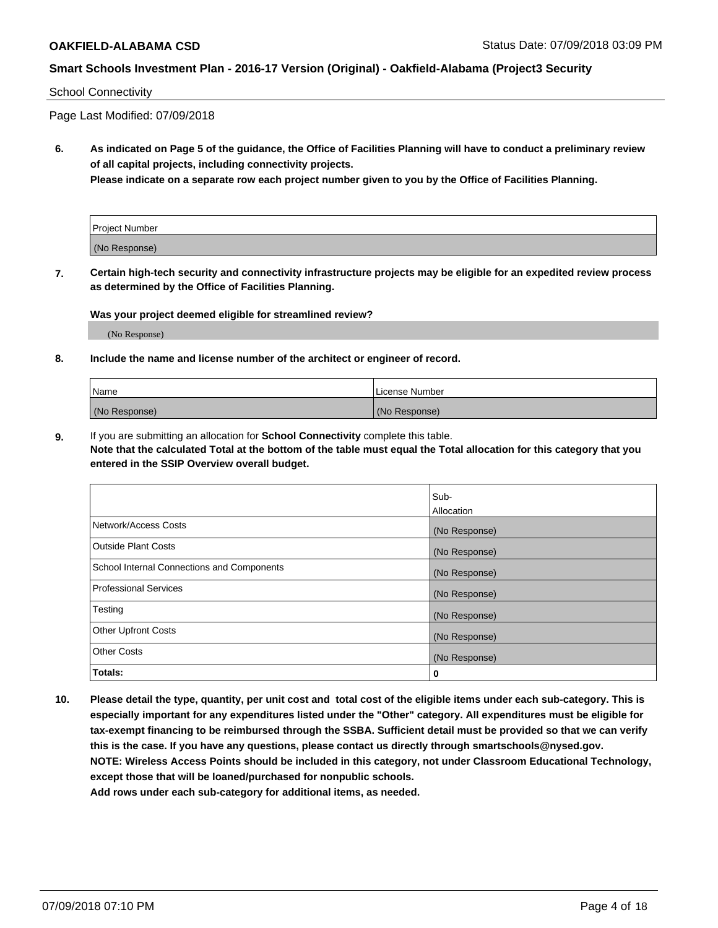#### School Connectivity

Page Last Modified: 07/09/2018

**6. As indicated on Page 5 of the guidance, the Office of Facilities Planning will have to conduct a preliminary review of all capital projects, including connectivity projects.**

**Please indicate on a separate row each project number given to you by the Office of Facilities Planning.**

| Project Number |  |
|----------------|--|
| (No Response)  |  |

**7. Certain high-tech security and connectivity infrastructure projects may be eligible for an expedited review process as determined by the Office of Facilities Planning.**

#### **Was your project deemed eligible for streamlined review?**

(No Response)

#### **8. Include the name and license number of the architect or engineer of record.**

| Name          | License Number |
|---------------|----------------|
| (No Response) | (No Response)  |

**9.** If you are submitting an allocation for **School Connectivity** complete this table.

**Note that the calculated Total at the bottom of the table must equal the Total allocation for this category that you entered in the SSIP Overview overall budget.** 

|                                            | Sub-<br><b>Allocation</b> |
|--------------------------------------------|---------------------------|
| Network/Access Costs                       | (No Response)             |
| Outside Plant Costs                        | (No Response)             |
| School Internal Connections and Components | (No Response)             |
| Professional Services                      | (No Response)             |
| Testing                                    | (No Response)             |
| <b>Other Upfront Costs</b>                 | (No Response)             |
| <b>Other Costs</b>                         | (No Response)             |
| Totals:                                    | 0                         |

**10. Please detail the type, quantity, per unit cost and total cost of the eligible items under each sub-category. This is especially important for any expenditures listed under the "Other" category. All expenditures must be eligible for tax-exempt financing to be reimbursed through the SSBA. Sufficient detail must be provided so that we can verify this is the case. If you have any questions, please contact us directly through smartschools@nysed.gov. NOTE: Wireless Access Points should be included in this category, not under Classroom Educational Technology, except those that will be loaned/purchased for nonpublic schools.**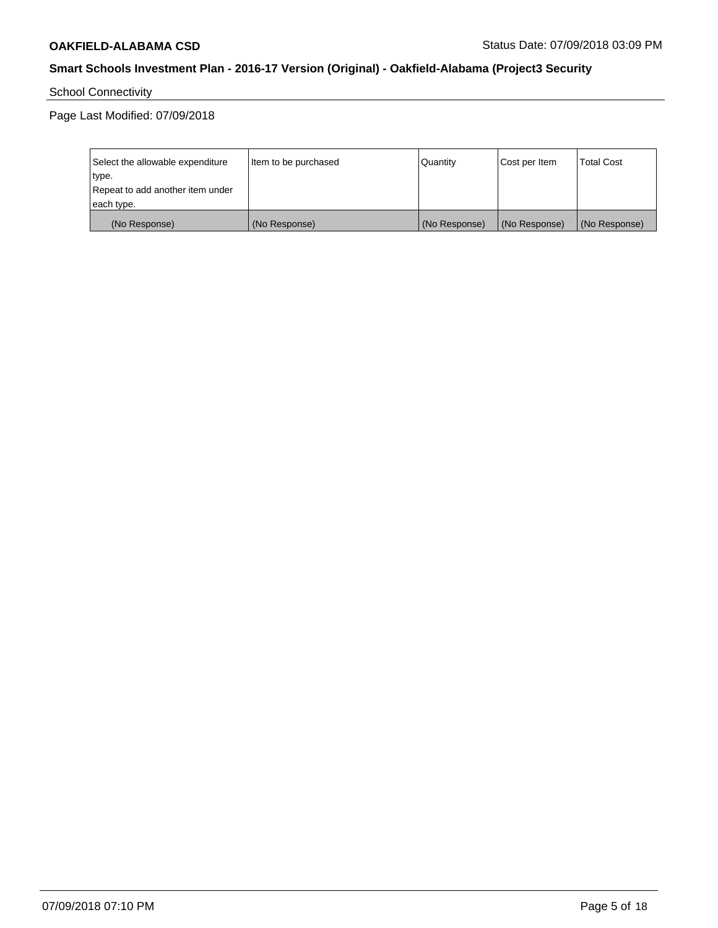School Connectivity

| Select the allowable expenditure<br>type.<br>Repeat to add another item under | Item to be purchased | Quantity      | Cost per Item | <b>Total Cost</b> |
|-------------------------------------------------------------------------------|----------------------|---------------|---------------|-------------------|
| each type.                                                                    |                      |               |               |                   |
| (No Response)                                                                 | (No Response)        | (No Response) | (No Response) | (No Response)     |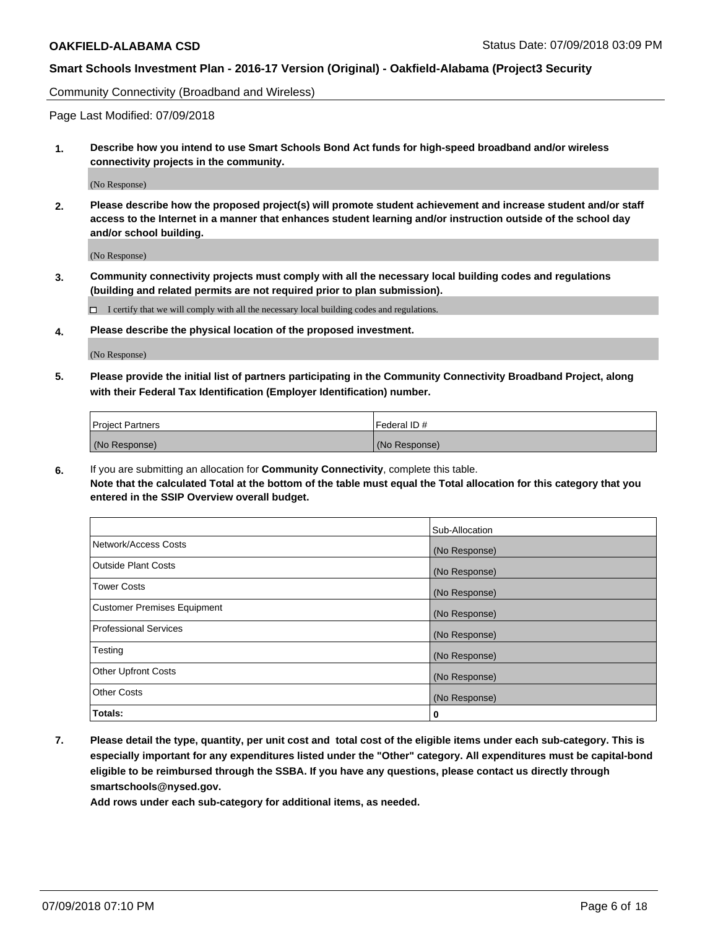Community Connectivity (Broadband and Wireless)

Page Last Modified: 07/09/2018

**1. Describe how you intend to use Smart Schools Bond Act funds for high-speed broadband and/or wireless connectivity projects in the community.**

(No Response)

**2. Please describe how the proposed project(s) will promote student achievement and increase student and/or staff access to the Internet in a manner that enhances student learning and/or instruction outside of the school day and/or school building.**

(No Response)

**3. Community connectivity projects must comply with all the necessary local building codes and regulations (building and related permits are not required prior to plan submission).**

 $\Box$  I certify that we will comply with all the necessary local building codes and regulations.

**4. Please describe the physical location of the proposed investment.**

(No Response)

**5. Please provide the initial list of partners participating in the Community Connectivity Broadband Project, along with their Federal Tax Identification (Employer Identification) number.**

| <b>Project Partners</b> | l Federal ID # |
|-------------------------|----------------|
| (No Response)           | (No Response)  |

**6.** If you are submitting an allocation for **Community Connectivity**, complete this table. **Note that the calculated Total at the bottom of the table must equal the Total allocation for this category that you entered in the SSIP Overview overall budget.**

|                                    | Sub-Allocation |
|------------------------------------|----------------|
| Network/Access Costs               | (No Response)  |
| Outside Plant Costs                | (No Response)  |
| <b>Tower Costs</b>                 | (No Response)  |
| <b>Customer Premises Equipment</b> | (No Response)  |
| Professional Services              | (No Response)  |
| Testing                            | (No Response)  |
| <b>Other Upfront Costs</b>         | (No Response)  |
| <b>Other Costs</b>                 | (No Response)  |
| Totals:                            | 0              |

**7. Please detail the type, quantity, per unit cost and total cost of the eligible items under each sub-category. This is especially important for any expenditures listed under the "Other" category. All expenditures must be capital-bond eligible to be reimbursed through the SSBA. If you have any questions, please contact us directly through smartschools@nysed.gov.**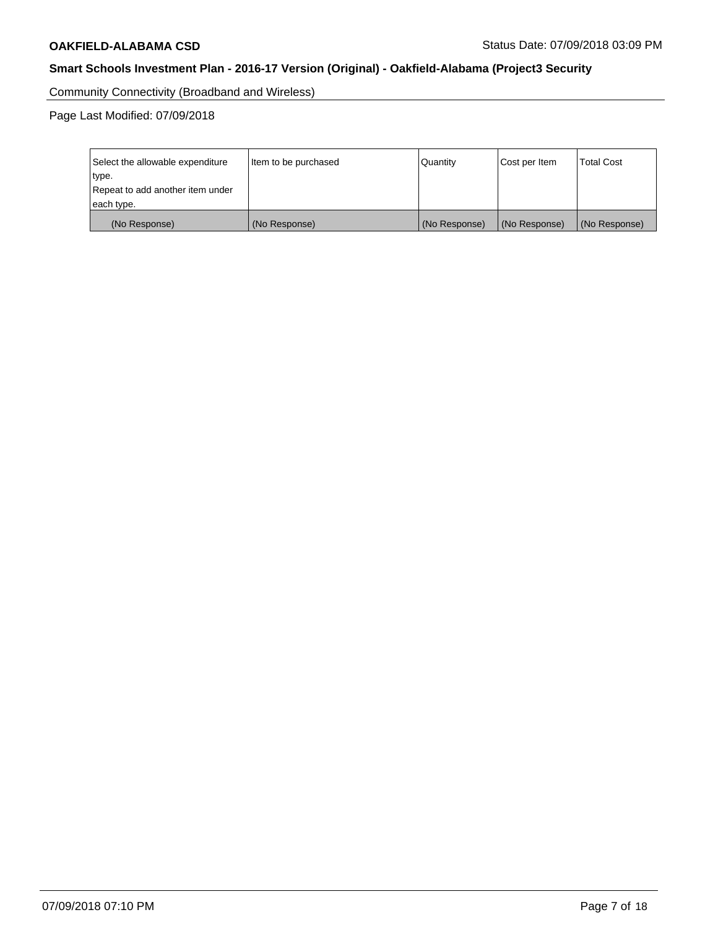Community Connectivity (Broadband and Wireless)

| Select the allowable expenditure<br>type.<br>Repeat to add another item under | Item to be purchased | Quantity      | Cost per Item | <b>Total Cost</b> |
|-------------------------------------------------------------------------------|----------------------|---------------|---------------|-------------------|
| each type.                                                                    |                      |               |               |                   |
| (No Response)                                                                 | (No Response)        | (No Response) | (No Response) | (No Response)     |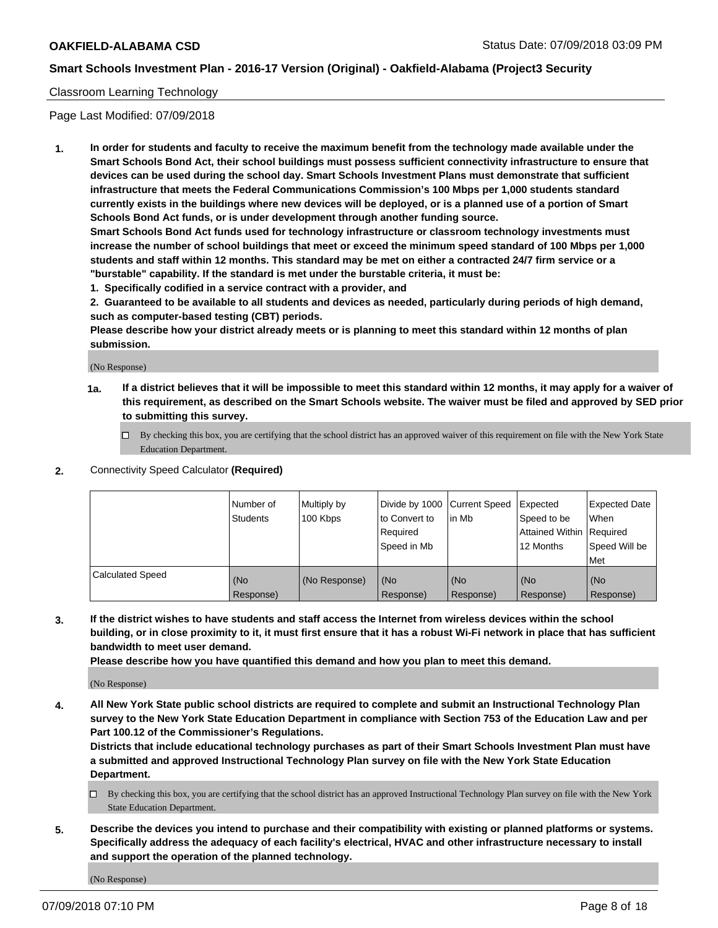## Classroom Learning Technology

Page Last Modified: 07/09/2018

**1. In order for students and faculty to receive the maximum benefit from the technology made available under the Smart Schools Bond Act, their school buildings must possess sufficient connectivity infrastructure to ensure that devices can be used during the school day. Smart Schools Investment Plans must demonstrate that sufficient infrastructure that meets the Federal Communications Commission's 100 Mbps per 1,000 students standard currently exists in the buildings where new devices will be deployed, or is a planned use of a portion of Smart Schools Bond Act funds, or is under development through another funding source.**

**Smart Schools Bond Act funds used for technology infrastructure or classroom technology investments must increase the number of school buildings that meet or exceed the minimum speed standard of 100 Mbps per 1,000 students and staff within 12 months. This standard may be met on either a contracted 24/7 firm service or a "burstable" capability. If the standard is met under the burstable criteria, it must be:**

**1. Specifically codified in a service contract with a provider, and**

**2. Guaranteed to be available to all students and devices as needed, particularly during periods of high demand, such as computer-based testing (CBT) periods.**

**Please describe how your district already meets or is planning to meet this standard within 12 months of plan submission.**

(No Response)

- **1a. If a district believes that it will be impossible to meet this standard within 12 months, it may apply for a waiver of this requirement, as described on the Smart Schools website. The waiver must be filed and approved by SED prior to submitting this survey.**
	- By checking this box, you are certifying that the school district has an approved waiver of this requirement on file with the New York State Education Department.
- **2.** Connectivity Speed Calculator **(Required)**

|                         | l Number of<br><b>Students</b> | Multiply by<br>100 Kbps | Divide by 1000 Current Speed<br>to Convert to<br>Required<br>l Speed in Mb | lin Mb           | Expected<br>Speed to be<br>Attained Within Required<br>12 Months | Expected Date<br>When<br>Speed Will be<br><b>Met</b> |
|-------------------------|--------------------------------|-------------------------|----------------------------------------------------------------------------|------------------|------------------------------------------------------------------|------------------------------------------------------|
| <b>Calculated Speed</b> | (No<br>Response)               | (No Response)           | (No<br>Response)                                                           | (No<br>Response) | (No<br>Response)                                                 | l (No<br>Response)                                   |

**3. If the district wishes to have students and staff access the Internet from wireless devices within the school building, or in close proximity to it, it must first ensure that it has a robust Wi-Fi network in place that has sufficient bandwidth to meet user demand.**

**Please describe how you have quantified this demand and how you plan to meet this demand.**

(No Response)

**4. All New York State public school districts are required to complete and submit an Instructional Technology Plan survey to the New York State Education Department in compliance with Section 753 of the Education Law and per Part 100.12 of the Commissioner's Regulations.**

**Districts that include educational technology purchases as part of their Smart Schools Investment Plan must have a submitted and approved Instructional Technology Plan survey on file with the New York State Education Department.**

- By checking this box, you are certifying that the school district has an approved Instructional Technology Plan survey on file with the New York State Education Department.
- **5. Describe the devices you intend to purchase and their compatibility with existing or planned platforms or systems. Specifically address the adequacy of each facility's electrical, HVAC and other infrastructure necessary to install and support the operation of the planned technology.**

(No Response)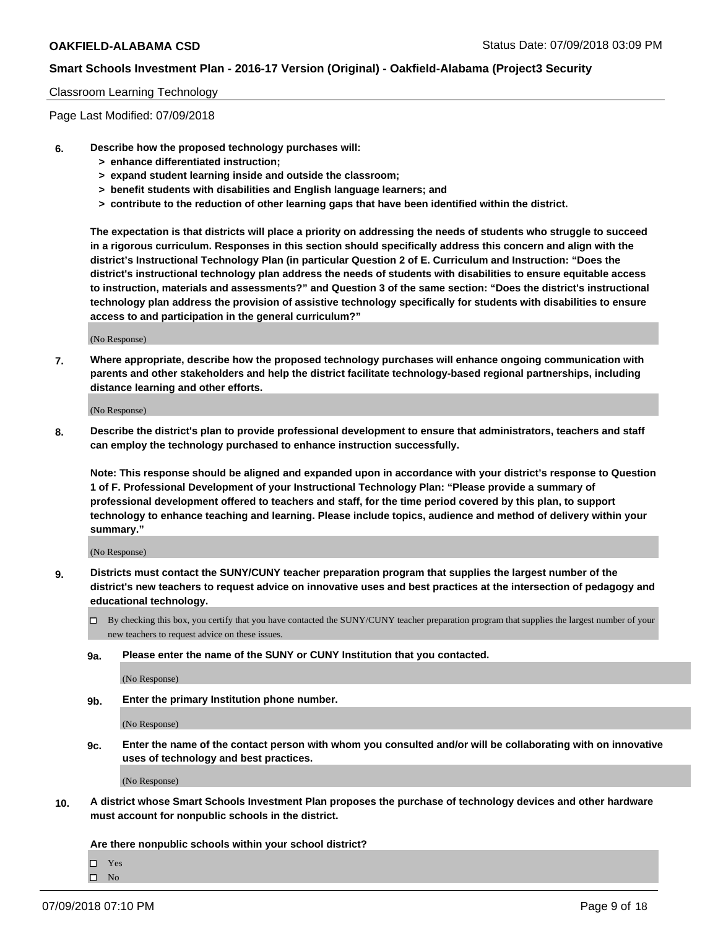### Classroom Learning Technology

Page Last Modified: 07/09/2018

- **6. Describe how the proposed technology purchases will:**
	- **> enhance differentiated instruction;**
	- **> expand student learning inside and outside the classroom;**
	- **> benefit students with disabilities and English language learners; and**
	- **> contribute to the reduction of other learning gaps that have been identified within the district.**

**The expectation is that districts will place a priority on addressing the needs of students who struggle to succeed in a rigorous curriculum. Responses in this section should specifically address this concern and align with the district's Instructional Technology Plan (in particular Question 2 of E. Curriculum and Instruction: "Does the district's instructional technology plan address the needs of students with disabilities to ensure equitable access to instruction, materials and assessments?" and Question 3 of the same section: "Does the district's instructional technology plan address the provision of assistive technology specifically for students with disabilities to ensure access to and participation in the general curriculum?"**

(No Response)

**7. Where appropriate, describe how the proposed technology purchases will enhance ongoing communication with parents and other stakeholders and help the district facilitate technology-based regional partnerships, including distance learning and other efforts.**

(No Response)

**8. Describe the district's plan to provide professional development to ensure that administrators, teachers and staff can employ the technology purchased to enhance instruction successfully.**

**Note: This response should be aligned and expanded upon in accordance with your district's response to Question 1 of F. Professional Development of your Instructional Technology Plan: "Please provide a summary of professional development offered to teachers and staff, for the time period covered by this plan, to support technology to enhance teaching and learning. Please include topics, audience and method of delivery within your summary."**

(No Response)

- **9. Districts must contact the SUNY/CUNY teacher preparation program that supplies the largest number of the district's new teachers to request advice on innovative uses and best practices at the intersection of pedagogy and educational technology.**
	- $\Box$  By checking this box, you certify that you have contacted the SUNY/CUNY teacher preparation program that supplies the largest number of your new teachers to request advice on these issues.
	- **9a. Please enter the name of the SUNY or CUNY Institution that you contacted.**

(No Response)

**9b. Enter the primary Institution phone number.**

(No Response)

**9c. Enter the name of the contact person with whom you consulted and/or will be collaborating with on innovative uses of technology and best practices.**

(No Response)

**10. A district whose Smart Schools Investment Plan proposes the purchase of technology devices and other hardware must account for nonpublic schools in the district.**

**Are there nonpublic schools within your school district?**

Yes

 $\hfill \square$  No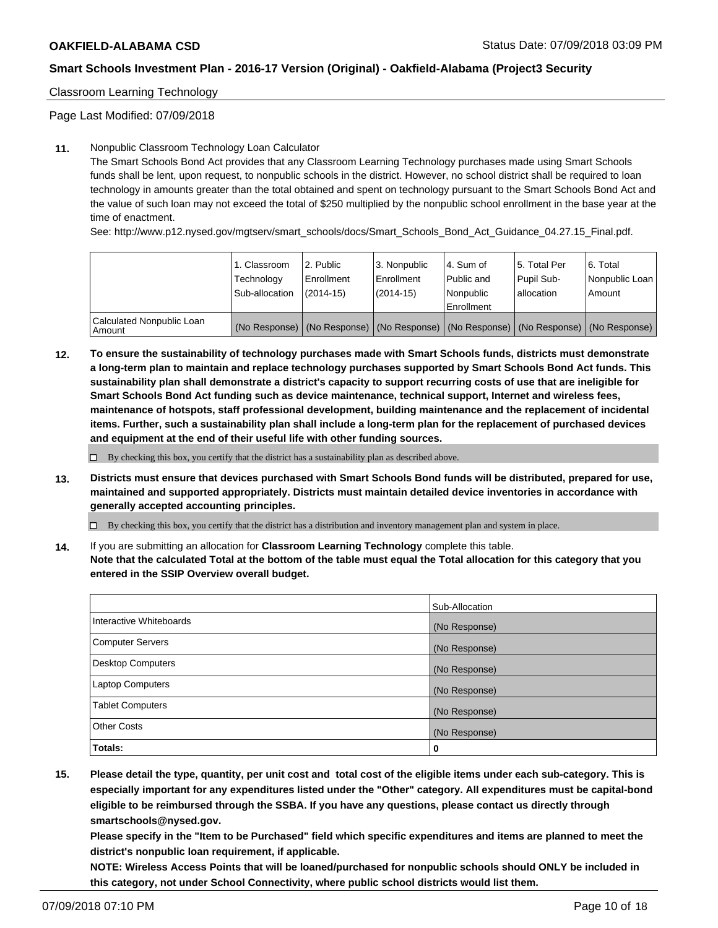# Classroom Learning Technology

Page Last Modified: 07/09/2018

### **11.** Nonpublic Classroom Technology Loan Calculator

The Smart Schools Bond Act provides that any Classroom Learning Technology purchases made using Smart Schools funds shall be lent, upon request, to nonpublic schools in the district. However, no school district shall be required to loan technology in amounts greater than the total obtained and spent on technology pursuant to the Smart Schools Bond Act and the value of such loan may not exceed the total of \$250 multiplied by the nonpublic school enrollment in the base year at the time of enactment.

See: http://www.p12.nysed.gov/mgtserv/smart\_schools/docs/Smart\_Schools\_Bond\_Act\_Guidance\_04.27.15\_Final.pdf.

|                                       | 1. Classroom<br>Technology<br>Sub-allocation | l 2. Public<br>Enrollment<br>$(2014 - 15)$ | l 3. Nonpublic<br>Enrollment<br>(2014-15) | 4. Sum of<br>Public and<br>l Nonpublic<br>Enrollment | l 5. Total Per<br>Pupil Sub-<br>lallocation                                                   | l 6. Total<br>Nonpublic Loan<br>Amount |
|---------------------------------------|----------------------------------------------|--------------------------------------------|-------------------------------------------|------------------------------------------------------|-----------------------------------------------------------------------------------------------|----------------------------------------|
| Calculated Nonpublic Loan<br>l Amount |                                              |                                            |                                           |                                                      | (No Response)   (No Response)   (No Response)   (No Response)   (No Response)   (No Response) |                                        |

**12. To ensure the sustainability of technology purchases made with Smart Schools funds, districts must demonstrate a long-term plan to maintain and replace technology purchases supported by Smart Schools Bond Act funds. This sustainability plan shall demonstrate a district's capacity to support recurring costs of use that are ineligible for Smart Schools Bond Act funding such as device maintenance, technical support, Internet and wireless fees, maintenance of hotspots, staff professional development, building maintenance and the replacement of incidental items. Further, such a sustainability plan shall include a long-term plan for the replacement of purchased devices and equipment at the end of their useful life with other funding sources.**

 $\square$  By checking this box, you certify that the district has a sustainability plan as described above.

**13. Districts must ensure that devices purchased with Smart Schools Bond funds will be distributed, prepared for use, maintained and supported appropriately. Districts must maintain detailed device inventories in accordance with generally accepted accounting principles.**

By checking this box, you certify that the district has a distribution and inventory management plan and system in place.

**14.** If you are submitting an allocation for **Classroom Learning Technology** complete this table.

**Note that the calculated Total at the bottom of the table must equal the Total allocation for this category that you entered in the SSIP Overview overall budget.**

|                          | Sub-Allocation |
|--------------------------|----------------|
| Interactive Whiteboards  | (No Response)  |
| <b>Computer Servers</b>  | (No Response)  |
| <b>Desktop Computers</b> | (No Response)  |
| <b>Laptop Computers</b>  | (No Response)  |
| <b>Tablet Computers</b>  | (No Response)  |
| <b>Other Costs</b>       | (No Response)  |
| Totals:                  | 0              |

**15. Please detail the type, quantity, per unit cost and total cost of the eligible items under each sub-category. This is especially important for any expenditures listed under the "Other" category. All expenditures must be capital-bond eligible to be reimbursed through the SSBA. If you have any questions, please contact us directly through smartschools@nysed.gov.**

**Please specify in the "Item to be Purchased" field which specific expenditures and items are planned to meet the district's nonpublic loan requirement, if applicable.**

**NOTE: Wireless Access Points that will be loaned/purchased for nonpublic schools should ONLY be included in this category, not under School Connectivity, where public school districts would list them.**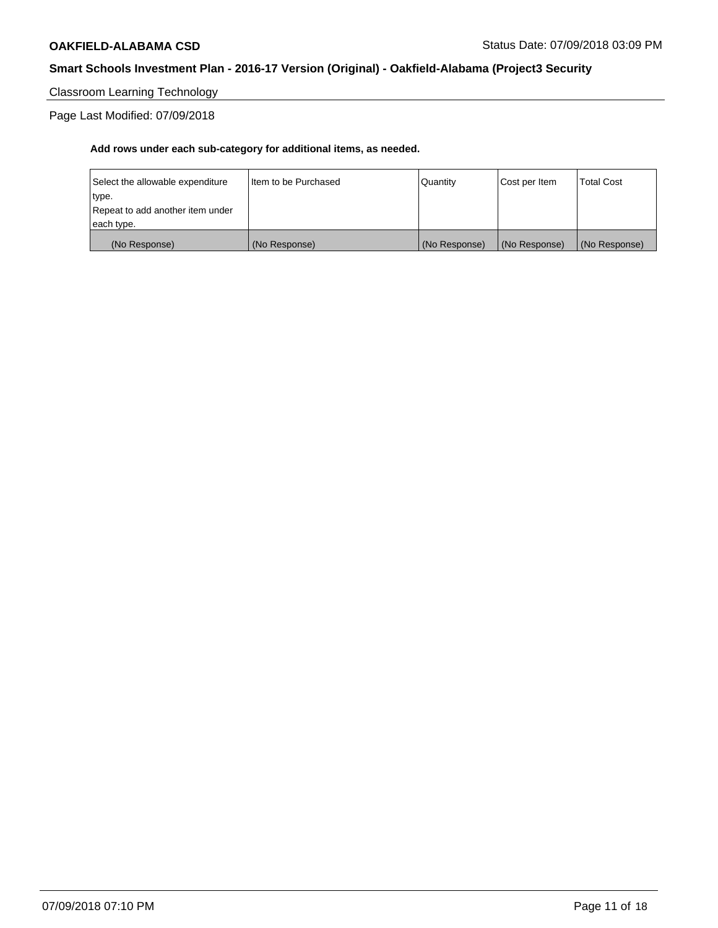Classroom Learning Technology

Page Last Modified: 07/09/2018

| (No Response)                    | (No Response)          | (No Response) | (No Response) | (No Response)     |
|----------------------------------|------------------------|---------------|---------------|-------------------|
| each type.                       |                        |               |               |                   |
| Repeat to add another item under |                        |               |               |                   |
| type.                            |                        |               |               |                   |
| Select the allowable expenditure | I Item to be Purchased | Quantity      | Cost per Item | <b>Total Cost</b> |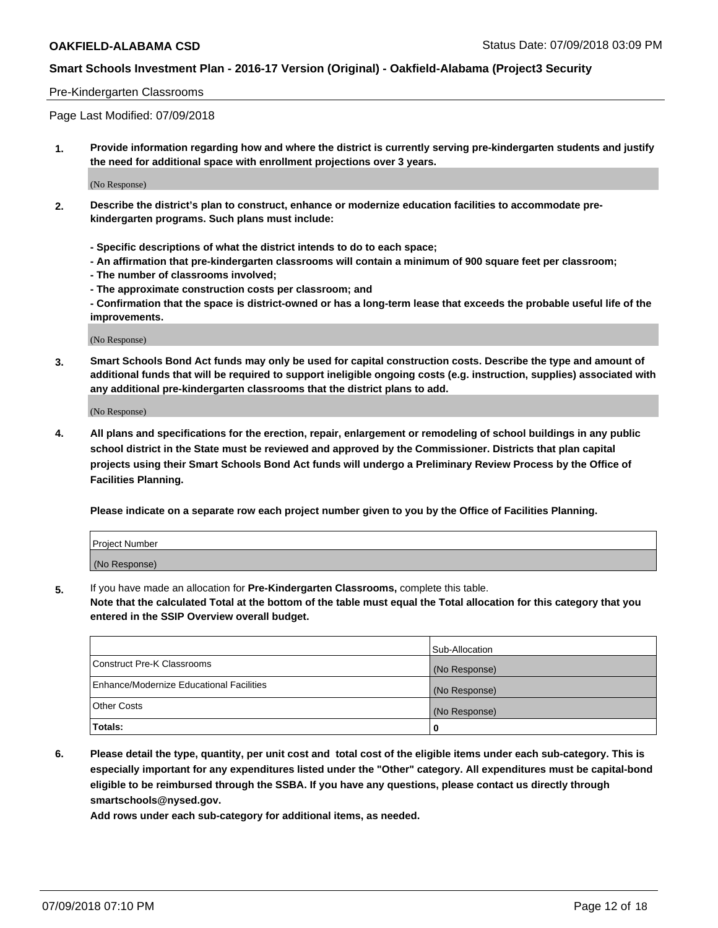#### Pre-Kindergarten Classrooms

Page Last Modified: 07/09/2018

**1. Provide information regarding how and where the district is currently serving pre-kindergarten students and justify the need for additional space with enrollment projections over 3 years.**

(No Response)

- **2. Describe the district's plan to construct, enhance or modernize education facilities to accommodate prekindergarten programs. Such plans must include:**
	- **Specific descriptions of what the district intends to do to each space;**
	- **An affirmation that pre-kindergarten classrooms will contain a minimum of 900 square feet per classroom;**
	- **The number of classrooms involved;**
	- **The approximate construction costs per classroom; and**
	- **Confirmation that the space is district-owned or has a long-term lease that exceeds the probable useful life of the improvements.**

(No Response)

**3. Smart Schools Bond Act funds may only be used for capital construction costs. Describe the type and amount of additional funds that will be required to support ineligible ongoing costs (e.g. instruction, supplies) associated with any additional pre-kindergarten classrooms that the district plans to add.**

(No Response)

**4. All plans and specifications for the erection, repair, enlargement or remodeling of school buildings in any public school district in the State must be reviewed and approved by the Commissioner. Districts that plan capital projects using their Smart Schools Bond Act funds will undergo a Preliminary Review Process by the Office of Facilities Planning.**

**Please indicate on a separate row each project number given to you by the Office of Facilities Planning.**

| <b>Project Number</b> |  |
|-----------------------|--|
| (No Response)         |  |

**5.** If you have made an allocation for **Pre-Kindergarten Classrooms,** complete this table.

**Note that the calculated Total at the bottom of the table must equal the Total allocation for this category that you entered in the SSIP Overview overall budget.**

|                                          | Sub-Allocation |
|------------------------------------------|----------------|
| Construct Pre-K Classrooms               | (No Response)  |
| Enhance/Modernize Educational Facilities | (No Response)  |
| Other Costs                              | (No Response)  |
| Totals:                                  | 0              |

**6. Please detail the type, quantity, per unit cost and total cost of the eligible items under each sub-category. This is especially important for any expenditures listed under the "Other" category. All expenditures must be capital-bond eligible to be reimbursed through the SSBA. If you have any questions, please contact us directly through smartschools@nysed.gov.**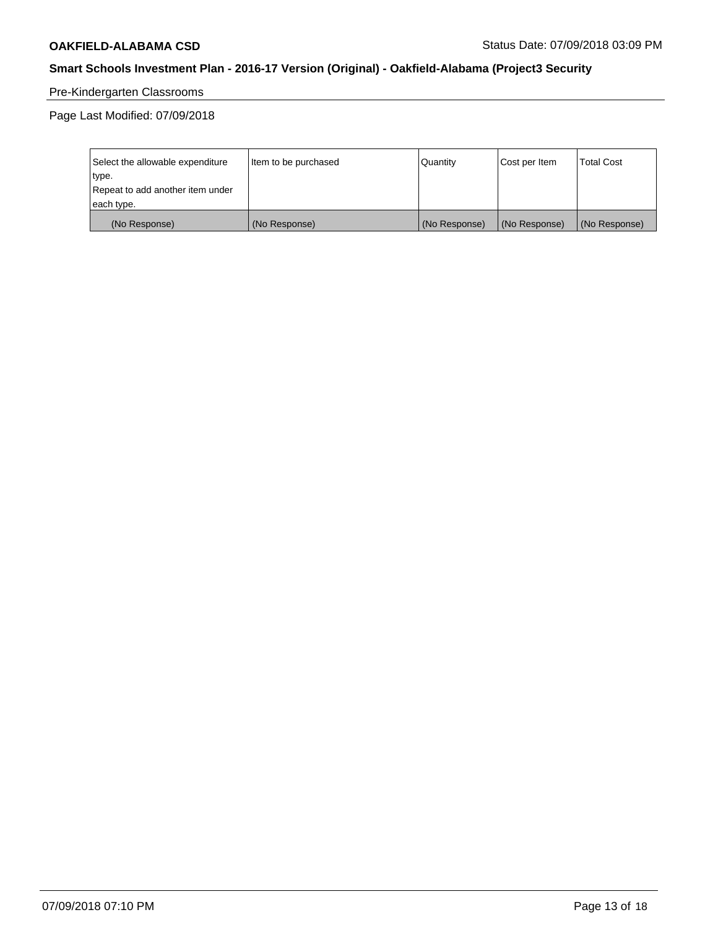# Pre-Kindergarten Classrooms

| Select the allowable expenditure | Item to be purchased | <b>Quantity</b> | Cost per Item | <b>Total Cost</b> |
|----------------------------------|----------------------|-----------------|---------------|-------------------|
| type.                            |                      |                 |               |                   |
| Repeat to add another item under |                      |                 |               |                   |
| each type.                       |                      |                 |               |                   |
| (No Response)                    | (No Response)        | (No Response)   | (No Response) | (No Response)     |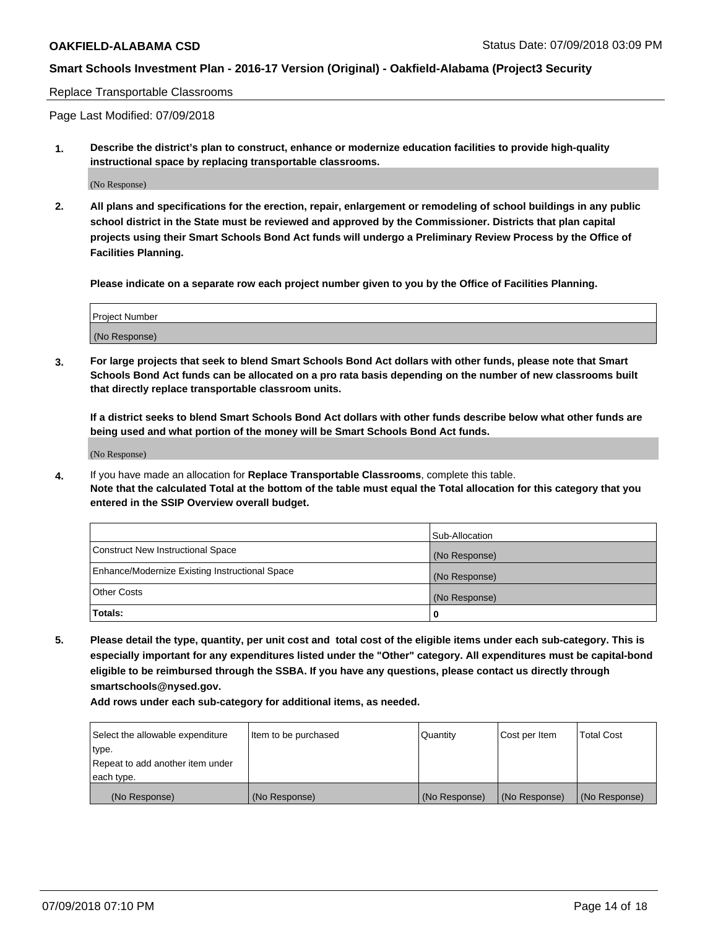#### Replace Transportable Classrooms

Page Last Modified: 07/09/2018

**1. Describe the district's plan to construct, enhance or modernize education facilities to provide high-quality instructional space by replacing transportable classrooms.**

(No Response)

**2. All plans and specifications for the erection, repair, enlargement or remodeling of school buildings in any public school district in the State must be reviewed and approved by the Commissioner. Districts that plan capital projects using their Smart Schools Bond Act funds will undergo a Preliminary Review Process by the Office of Facilities Planning.**

**Please indicate on a separate row each project number given to you by the Office of Facilities Planning.**

| <b>Project Number</b> |  |
|-----------------------|--|
| (No Response)         |  |

**3. For large projects that seek to blend Smart Schools Bond Act dollars with other funds, please note that Smart Schools Bond Act funds can be allocated on a pro rata basis depending on the number of new classrooms built that directly replace transportable classroom units.**

**If a district seeks to blend Smart Schools Bond Act dollars with other funds describe below what other funds are being used and what portion of the money will be Smart Schools Bond Act funds.**

(No Response)

**4.** If you have made an allocation for **Replace Transportable Classrooms**, complete this table. **Note that the calculated Total at the bottom of the table must equal the Total allocation for this category that you entered in the SSIP Overview overall budget.**

|                                                | Sub-Allocation |
|------------------------------------------------|----------------|
| Construct New Instructional Space              | (No Response)  |
| Enhance/Modernize Existing Instructional Space | (No Response)  |
| Other Costs                                    | (No Response)  |
| Totals:                                        | 0              |

**5. Please detail the type, quantity, per unit cost and total cost of the eligible items under each sub-category. This is especially important for any expenditures listed under the "Other" category. All expenditures must be capital-bond eligible to be reimbursed through the SSBA. If you have any questions, please contact us directly through smartschools@nysed.gov.**

| Select the allowable expenditure | Item to be purchased | Quantity      | Cost per Item | <b>Total Cost</b> |
|----------------------------------|----------------------|---------------|---------------|-------------------|
| type.                            |                      |               |               |                   |
| Repeat to add another item under |                      |               |               |                   |
| each type.                       |                      |               |               |                   |
| (No Response)                    | (No Response)        | (No Response) | (No Response) | (No Response)     |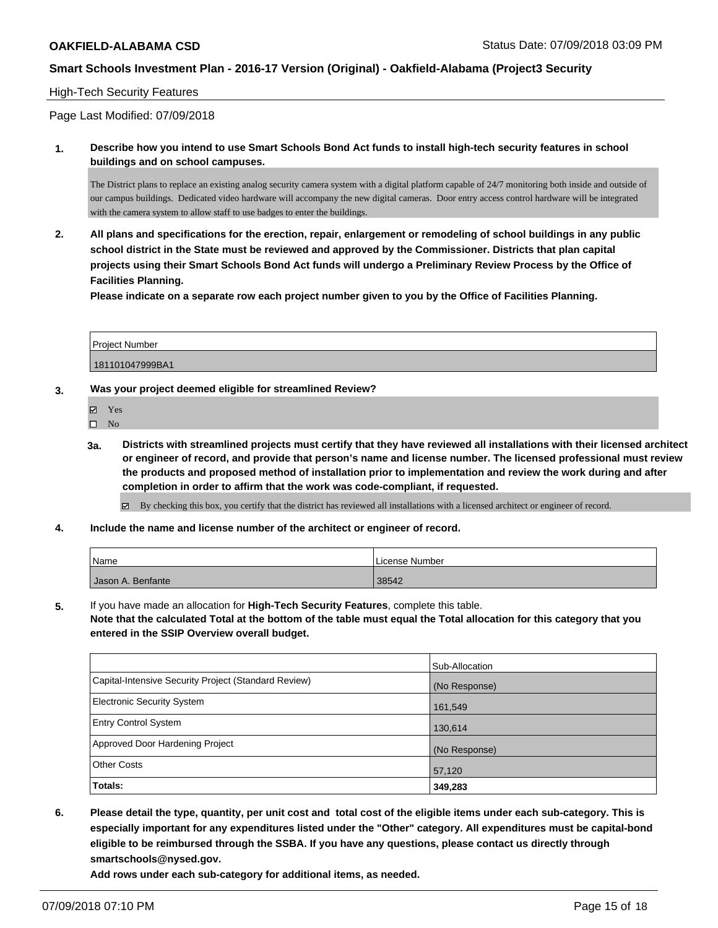## High-Tech Security Features

Page Last Modified: 07/09/2018

**1. Describe how you intend to use Smart Schools Bond Act funds to install high-tech security features in school buildings and on school campuses.**

The District plans to replace an existing analog security camera system with a digital platform capable of 24/7 monitoring both inside and outside of our campus buildings. Dedicated video hardware will accompany the new digital cameras. Door entry access control hardware will be integrated with the camera system to allow staff to use badges to enter the buildings.

**2. All plans and specifications for the erection, repair, enlargement or remodeling of school buildings in any public school district in the State must be reviewed and approved by the Commissioner. Districts that plan capital projects using their Smart Schools Bond Act funds will undergo a Preliminary Review Process by the Office of Facilities Planning.** 

**Please indicate on a separate row each project number given to you by the Office of Facilities Planning.**

| <b>Project Number</b> |  |
|-----------------------|--|
| 181101047999BA1       |  |

### **3. Was your project deemed eligible for streamlined Review?**

Yes

 $\square$  No

**3a. Districts with streamlined projects must certify that they have reviewed all installations with their licensed architect or engineer of record, and provide that person's name and license number. The licensed professional must review the products and proposed method of installation prior to implementation and review the work during and after completion in order to affirm that the work was code-compliant, if requested.**

By checking this box, you certify that the district has reviewed all installations with a licensed architect or engineer of record.

**4. Include the name and license number of the architect or engineer of record.**

| 'Name             | l License Number |
|-------------------|------------------|
| Jason A. Benfante | 38542            |

**5.** If you have made an allocation for **High-Tech Security Features**, complete this table. **Note that the calculated Total at the bottom of the table must equal the Total allocation for this category that you entered in the SSIP Overview overall budget.**

|                                                      | Sub-Allocation |
|------------------------------------------------------|----------------|
| Capital-Intensive Security Project (Standard Review) | (No Response)  |
| Electronic Security System                           | 161,549        |
| <b>Entry Control System</b>                          | 130,614        |
| Approved Door Hardening Project                      | (No Response)  |
| <b>Other Costs</b>                                   | 57,120         |
| Totals:                                              | 349,283        |

**6. Please detail the type, quantity, per unit cost and total cost of the eligible items under each sub-category. This is especially important for any expenditures listed under the "Other" category. All expenditures must be capital-bond eligible to be reimbursed through the SSBA. If you have any questions, please contact us directly through smartschools@nysed.gov.**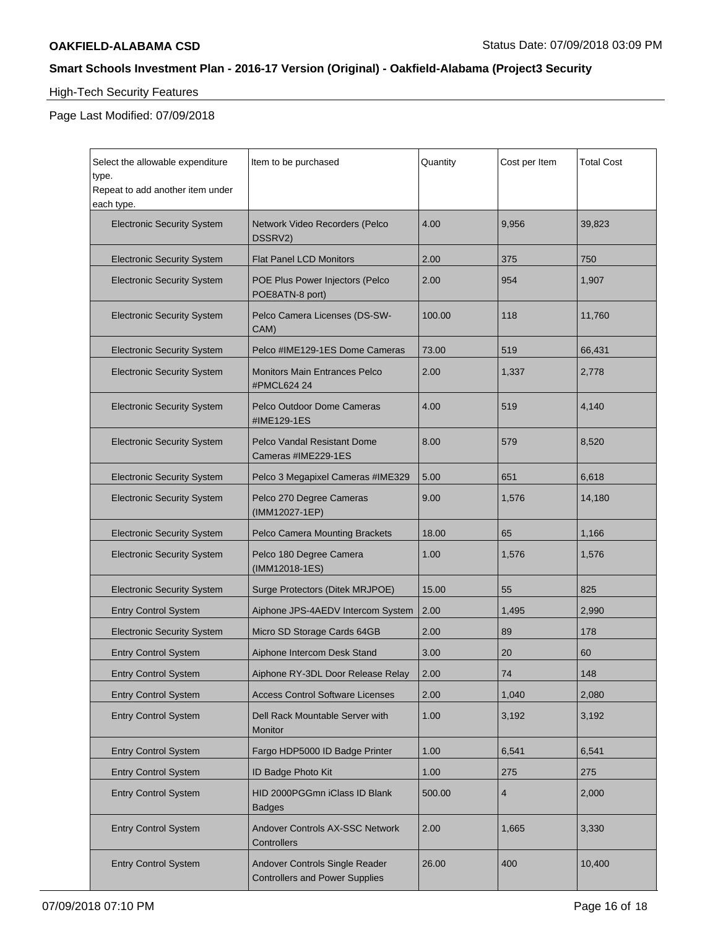# High-Tech Security Features

| Select the allowable expenditure<br>type.<br>Repeat to add another item under<br>each type. | Item to be purchased                               | Quantity | Cost per Item | <b>Total Cost</b> |
|---------------------------------------------------------------------------------------------|----------------------------------------------------|----------|---------------|-------------------|
| <b>Electronic Security System</b>                                                           | Network Video Recorders (Pelco<br>DSSRV2)          | 4.00     | 9,956         | 39,823            |
| <b>Electronic Security System</b>                                                           | Flat Panel LCD Monitors                            | 2.00     | 375           | 750               |
| <b>Electronic Security System</b>                                                           | POE Plus Power Injectors (Pelco<br>POE8ATN-8 port) | 2.00     | 954           | 1,907             |
| <b>Electronic Security System</b>                                                           | Pelco Camera Licenses (DS-SW-<br>CAM)              | 100.00   | 118           | 11,760            |
| <b>Electronic Security System</b>                                                           | Pelco #IME129-1ES Dome Cameras                     | 73.00    | 519           | 66,431            |
| <b>Electronic Security System</b>                                                           | Monitors Main Entrances Pelco<br>#PMCL624 24       | 2.00     | 1,337         | 2,778             |
| <b>Electronic Security System</b>                                                           | Pelco Outdoor Dome Cameras<br>#IME129-1ES          | 4.00     | 519           | 4,140             |
| <b>Electronic Security System</b>                                                           | Pelco Vandal Resistant Dome<br>Cameras #IME229-1ES | 8.00     | 579           | 8,520             |
| <b>Electronic Security System</b>                                                           | Pelco 3 Megapixel Cameras #IME329                  | 5.00     | 651           | 6,618             |
| <b>Electronic Security System</b>                                                           | Pelco 270 Degree Cameras<br>(IMM12027-1EP)         | 9.00     | 1,576         | 14,180            |
|                                                                                             |                                                    |          |               |                   |
| <b>Electronic Security System</b>                                                           | Pelco Camera Mounting Brackets                     | 18.00    | 65            | 1,166             |
| <b>Electronic Security System</b>                                                           | Pelco 180 Degree Camera<br>(IMM12018-1ES)          | 1.00     | 1,576         | 1,576             |
| <b>Electronic Security System</b>                                                           | Surge Protectors (Ditek MRJPOE)                    | 15.00    | 55            | 825               |
| <b>Entry Control System</b>                                                                 | Aiphone JPS-4AEDV Intercom System                  | 2.00     | 1,495         | 2,990             |
| <b>Electronic Security System</b>                                                           | Micro SD Storage Cards 64GB                        | 2.00     | 89            | 178               |
| <b>Entry Control System</b>                                                                 | Aiphone Intercom Desk Stand                        | 3.00     | 20            | 60                |
| <b>Entry Control System</b>                                                                 | Aiphone RY-3DL Door Release Relay                  | 2.00     | 74            | 148               |
| <b>Entry Control System</b>                                                                 | <b>Access Control Software Licenses</b>            | 2.00     | 1,040         | 2,080             |
| <b>Entry Control System</b>                                                                 | Dell Rack Mountable Server with<br>Monitor         | 1.00     | 3,192         | 3,192             |
| <b>Entry Control System</b>                                                                 | Fargo HDP5000 ID Badge Printer                     | 1.00     | 6,541         | 6,541             |
| <b>Entry Control System</b>                                                                 | ID Badge Photo Kit                                 | 1.00     | 275           | 275               |
| <b>Entry Control System</b>                                                                 | HID 2000PGGmn iClass ID Blank<br>Badges            | 500.00   | 4             | 2,000             |
| <b>Entry Control System</b>                                                                 | Andover Controls AX-SSC Network<br>Controllers     | 2.00     | 1,665         | 3,330             |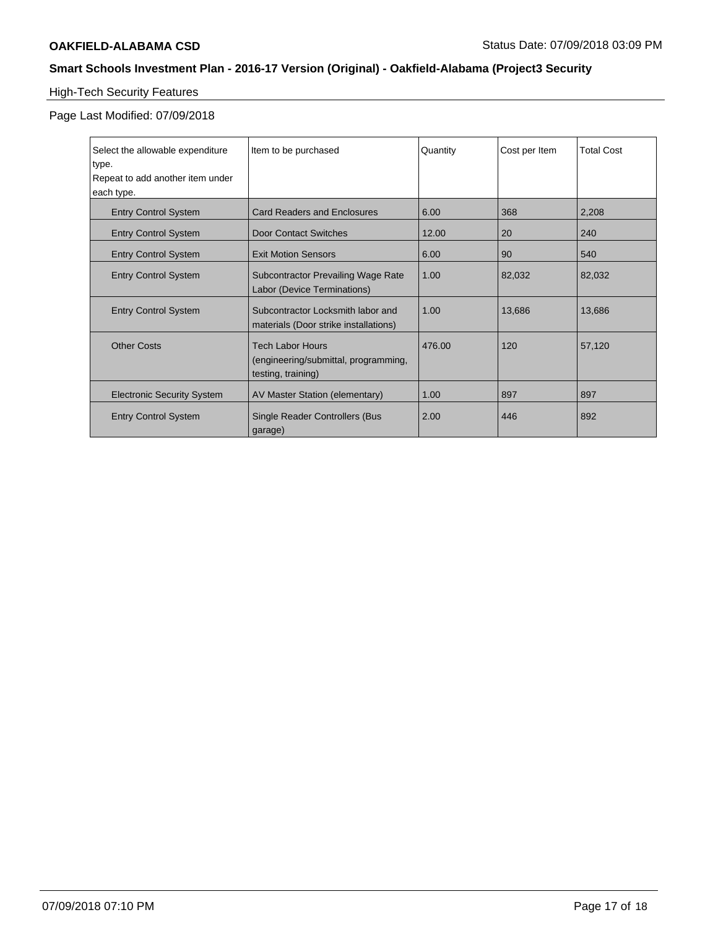# High-Tech Security Features

| Select the allowable expenditure<br>type.<br>Repeat to add another item under | Item to be purchased                                                                  | Quantity | Cost per Item | <b>Total Cost</b> |
|-------------------------------------------------------------------------------|---------------------------------------------------------------------------------------|----------|---------------|-------------------|
| each type.                                                                    |                                                                                       |          |               |                   |
| <b>Entry Control System</b>                                                   | <b>Card Readers and Enclosures</b>                                                    | 6.00     | 368           | 2,208             |
| <b>Entry Control System</b>                                                   | <b>Door Contact Switches</b>                                                          | 12.00    | 20            | 240               |
| <b>Entry Control System</b>                                                   | <b>Exit Motion Sensors</b>                                                            | 6.00     | 90            | 540               |
| <b>Entry Control System</b>                                                   | Subcontractor Prevailing Wage Rate<br>Labor (Device Terminations)                     | 1.00     | 82,032        | 82,032            |
| <b>Entry Control System</b>                                                   | Subcontractor Locksmith labor and<br>materials (Door strike installations)            | 1.00     | 13,686        | 13,686            |
| <b>Other Costs</b>                                                            | <b>Tech Labor Hours</b><br>(engineering/submittal, programming,<br>testing, training) | 476.00   | 120           | 57,120            |
| <b>Electronic Security System</b>                                             | AV Master Station (elementary)                                                        | 1.00     | 897           | 897               |
| <b>Entry Control System</b>                                                   | Single Reader Controllers (Bus<br>garage)                                             | 2.00     | 446           | 892               |